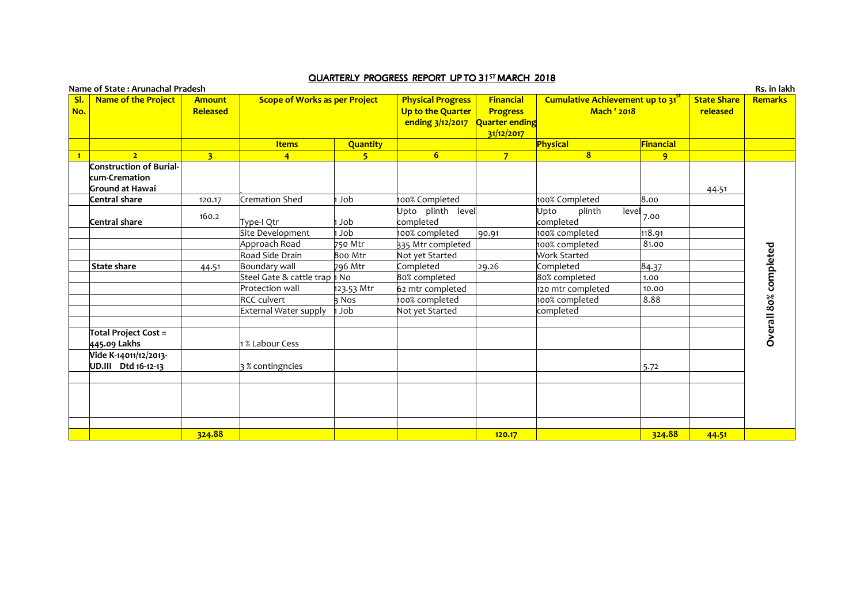| Name of State: Arunachal Pradesh         |                           |                                      |                         |                                                                   |                                                              |                                                                    |                                |                                | Rs. in lakh           |
|------------------------------------------|---------------------------|--------------------------------------|-------------------------|-------------------------------------------------------------------|--------------------------------------------------------------|--------------------------------------------------------------------|--------------------------------|--------------------------------|-----------------------|
| <b>Name of the Project</b><br>SI.<br>No. | <b>Amount</b><br>Released | <b>Scope of Works as per Project</b> |                         | <b>Physical Progress</b><br>Up to the Quarter<br>ending 3/12/2017 | Financial<br><b>Progress</b><br>Quarter ending<br>31/12/2017 | Cumulative Achievement up to 31 <sup>5</sup><br><b>Mach ' 2018</b> |                                | <b>State Share</b><br>released | <b>Remarks</b>        |
|                                          |                           | <b>Items</b>                         | <b>Quantity</b>         |                                                                   |                                                              | Physical                                                           | Financial                      |                                |                       |
| $\overline{2}$<br>$\blacksquare$         | $\overline{\mathbf{3}}$   | $\overline{4}$                       | $\overline{\mathbf{S}}$ | 6 <sup>1</sup>                                                    | $\overline{7}$                                               | 8                                                                  | $\mathbf{q}$                   |                                |                       |
| <b>Construction of Burial-</b>           |                           |                                      |                         |                                                                   |                                                              |                                                                    |                                |                                |                       |
| kum-Cremation                            |                           |                                      |                         |                                                                   |                                                              |                                                                    |                                |                                |                       |
| Ground at Hawai                          |                           |                                      |                         |                                                                   |                                                              |                                                                    |                                | 44.51                          |                       |
| Central share                            | 120.17                    | Cremation Shed                       | Job                     | 100% Completed                                                    |                                                              | 100% Completed                                                     | 8.00                           |                                |                       |
|                                          | 160.2                     |                                      |                         | Upto plinth level                                                 |                                                              | plinth<br>Upto                                                     | $\overline{\text{level}}$ 7.00 |                                |                       |
| Central share                            |                           | Type-I Qtr                           | ı Job                   | completed                                                         |                                                              | completed                                                          |                                |                                |                       |
|                                          |                           | Site Development                     | Job                     | 100% completed                                                    | 90.91                                                        | 100% completed                                                     | 118.91                         |                                |                       |
|                                          |                           | Approach Road                        | 750 Mtr                 | 335 Mtr completed                                                 |                                                              | 100% completed                                                     | 81.00                          |                                | Overall 80% completed |
|                                          |                           | Road Side Drain                      | 800 Mtr                 | Not yet Started                                                   |                                                              | Work Started                                                       |                                |                                |                       |
| <b>State share</b>                       | 44.51                     | Boundary wall                        | $796$ Mtr               | Completed                                                         | 29.26                                                        | Completed                                                          | 84.37                          |                                |                       |
|                                          |                           | Steel Gate & cattle trap   No        |                         | 80% completed                                                     |                                                              | 80% completed                                                      | 1.00                           |                                |                       |
|                                          |                           | Protection wall                      | 123.53 Mtr              | 62 mtr completed                                                  |                                                              | 120 mtr completed                                                  | 10.00                          |                                |                       |
|                                          |                           | <b>RCC</b> culvert                   | R Nos                   | 100% completed                                                    |                                                              | 100% completed                                                     | 8.88                           |                                |                       |
|                                          |                           | External Water supply                | Job                     | Not yet Started                                                   |                                                              | completed                                                          |                                |                                |                       |
|                                          |                           |                                      |                         |                                                                   |                                                              |                                                                    |                                |                                |                       |
| Total Project Cost =                     |                           |                                      |                         |                                                                   |                                                              |                                                                    |                                |                                |                       |
| 445.09 Lakhs                             |                           | & Labour Cess                        |                         |                                                                   |                                                              |                                                                    |                                |                                |                       |
| Vide K-14011/12/2013-                    |                           |                                      |                         |                                                                   |                                                              |                                                                    |                                |                                |                       |
| UD.III Dtd 16-12-13                      |                           | 3 % contingncies                     |                         |                                                                   |                                                              |                                                                    | 5.72                           |                                |                       |
|                                          |                           |                                      |                         |                                                                   |                                                              |                                                                    |                                |                                |                       |
|                                          |                           |                                      |                         |                                                                   |                                                              |                                                                    |                                |                                |                       |
|                                          |                           |                                      |                         |                                                                   |                                                              |                                                                    |                                |                                |                       |
|                                          |                           |                                      |                         |                                                                   |                                                              |                                                                    |                                |                                |                       |
|                                          |                           |                                      |                         |                                                                   |                                                              |                                                                    |                                |                                |                       |
|                                          | 324.88                    |                                      |                         |                                                                   | 120.17                                                       |                                                                    | 324.88                         | 44.51                          |                       |

## <u>QUARTERLY PROGRESS REPORT UP TO 31<sup>st</sup> MARCH 2018</u>